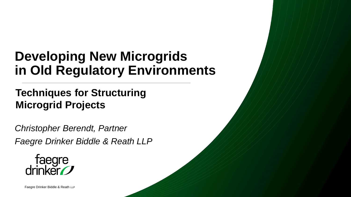#### **Developing New Microgrids in Old Regulatory Environments**

#### **Techniques for Structuring Microgrid Projects**

*Christopher Berendt, Partner Faegre Drinker Biddle & Reath LLP* 

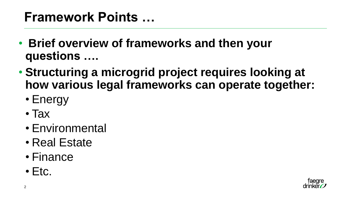#### **Framework Points …**

- **Brief overview of frameworks and then your questions ….**
- **Structuring a microgrid project requires looking at how various legal frameworks can operate together:**
	- Energy
	- Tax
	- Environmental
	- Real Estate
	- Finance
	- $\bullet$  Etc.

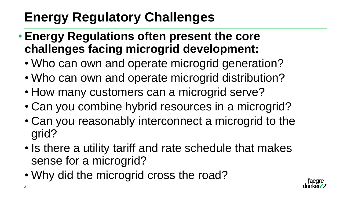### **Energy Regulatory Challenges**

- **Energy Regulations often present the core challenges facing microgrid development:**
	- Who can own and operate microgrid generation?
	- Who can own and operate microgrid distribution?
	- How many customers can a microgrid serve?
	- Can you combine hybrid resources in a microgrid?
	- Can you reasonably interconnect a microgrid to the grid?
	- Is there a utility tariff and rate schedule that makes sense for a microgrid?
	- Why did the microgrid cross the road?

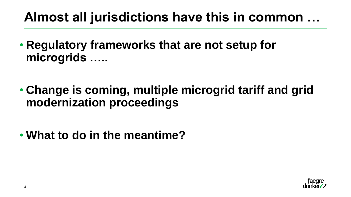#### **Almost all jurisdictions have this in common …**

- **Regulatory frameworks that are not setup for microgrids …..**
- **Change is coming, multiple microgrid tariff and grid modernization proceedings**
- **What to do in the meantime?**

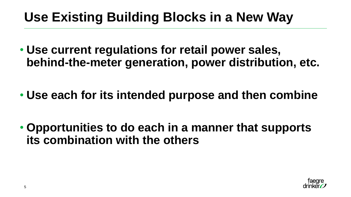#### **Use Existing Building Blocks in a New Way**

- **Use current regulations for retail power sales, behind-the-meter generation, power distribution, etc.**
- **Use each for its intended purpose and then combine**
- **Opportunities to do each in a manner that supports its combination with the others**

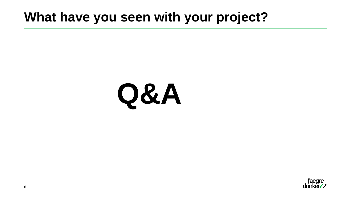#### **What have you seen with your project?**

# **Q&A**